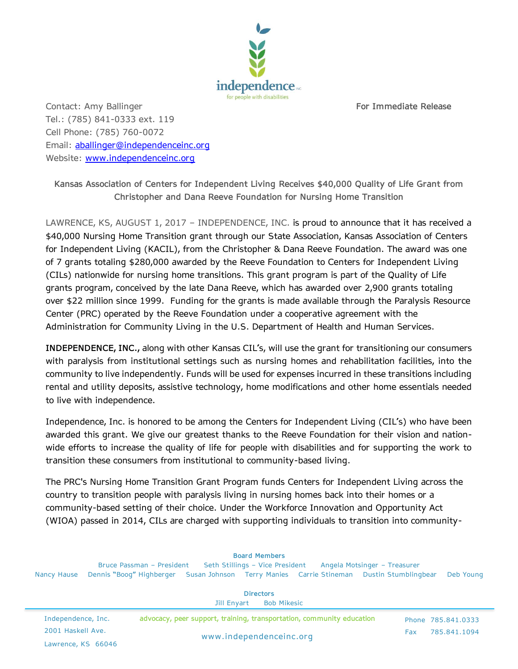

Contact: Amy Ballinger **For Immediate Release** Tel.: (785) 841-0333 ext. 119 Cell Phone: (785) 760-0072 Email: [aballinger@independenceinc.org](mailto:aballinger@independenceinc.org) Website: [www.independenceinc.org](http://www.independenceinc.org/)

**Kansas Association of Centers for Independent Living Receives \$40,000 Quality of Life Grant from Christopher and Dana Reeve Foundation for Nursing Home Transition**

LAWRENCE, KS, AUGUST 1, 2017 - INDEPENDENCE, INC. is proud to announce that it has received a \$40,000 Nursing Home Transition grant through our State Association, Kansas Association of Centers for Independent Living (KACIL), from the Christopher & Dana Reeve Foundation. The award was one of 7 grants totaling \$280,000 awarded by the Reeve Foundation to Centers for Independent Living (CILs) nationwide for nursing home transitions. This grant program is part of the Quality of Life grants program, conceived by the late Dana Reeve, which has awarded over 2,900 grants totaling over \$22 million since 1999. Funding for the grants is made available through the Paralysis Resource Center (PRC) operated by the Reeve Foundation under a cooperative agreement with the Administration for Community Living in the U.S. Department of Health and Human Services.

**INDEPENDENCE, INC.,** along with other Kansas CIL's, will use the grant for transitioning our consumers with paralysis from institutional settings such as nursing homes and rehabilitation facilities, into the community to live independently. Funds will be used for expenses incurred in these transitions including rental and utility deposits, assistive technology, home modifications and other home essentials needed to live with independence.

Independence, Inc. is honored to be among the Centers for Independent Living (CIL's) who have been awarded this grant. We give our greatest thanks to the Reeve Foundation for their vision and nationwide efforts to increase the quality of life for people with disabilities and for supporting the work to transition these consumers from institutional to community-based living.

The PRC's Nursing Home Transition Grant Program funds Centers for Independent Living across the country to transition people with paralysis living in nursing homes back into their homes or a community-based setting of their choice. Under the Workforce Innovation and Opportunity Act (WIOA) passed in 2014, CILs are charged with supporting individuals to transition into community-